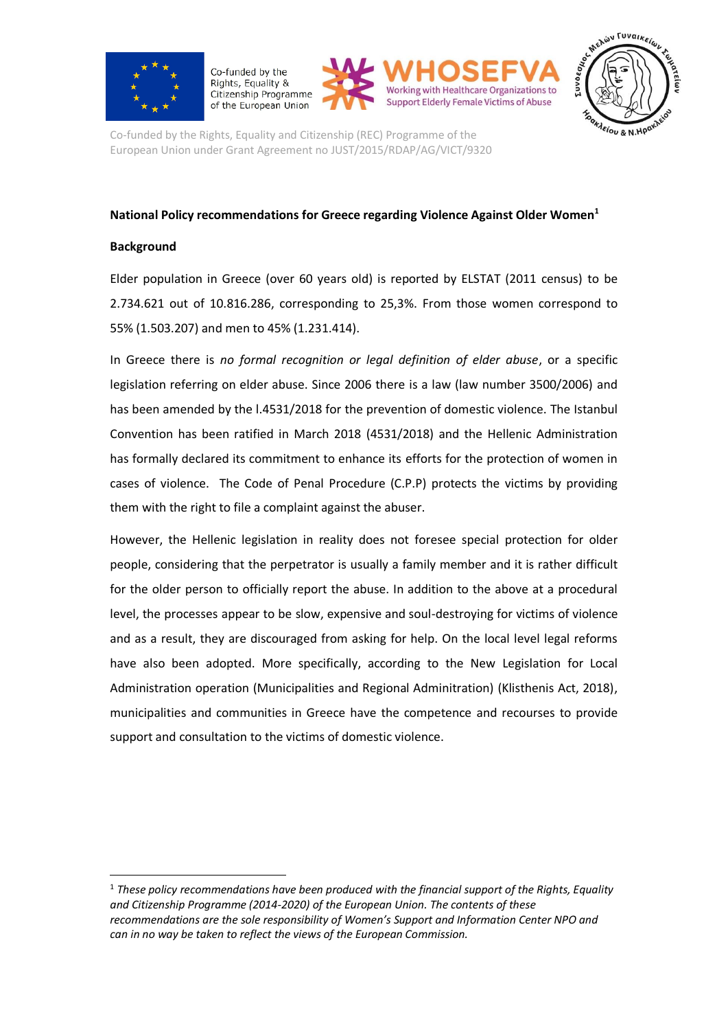

Co-funded by the Rights, Equality & Citizenship Programme of the European Union





Co-funded by the Rights, Equality and Citizenship (REC) Programme of the European Union under Grant Agreement no JUST/2015/RDAP/AG/VICT/9320

## **National Policy recommendations for Greece regarding Violence Against Older Women<sup>1</sup>**

## **Background**

1

Elder population in Greece (over 60 years old) is reported by ELSTAT (2011 census) to be 2.734.621 out of 10.816.286, corresponding to 25,3%. From those women correspond to 55% (1.503.207) and men to 45% (1.231.414).

In Greece there is *no formal recognition or legal definition of elder abuse*, or a specific legislation referring on elder abuse. Since 2006 there is a law (law number 3500/2006) and has been amended by the l.4531/2018 for the prevention of domestic violence. The Istanbul Convention has been ratified in March 2018 (4531/2018) and the Hellenic Administration has formally declared its commitment to enhance its efforts for the protection of women in cases of violence. The Code of Penal Procedure (C.P.P) protects the victims by providing them with the right to file a complaint against the abuser.

However, the Hellenic legislation in reality does not foresee special protection for older people, considering that the perpetrator is usually a family member and it is rather difficult for the older person to officially report the abuse. In addition to the above at a procedural level, the processes appear to be slow, expensive and soul-destroying for victims of violence and as a result, they are discouraged from asking for help. On the local level legal reforms have also been adopted. More specifically, according to the New Legislation for Local Administration operation (Municipalities and Regional Adminitration) (Klisthenis Act, 2018), municipalities and communities in Greece have the competence and recourses to provide support and consultation to the victims of domestic violence.

<sup>1</sup> *These policy recommendations have been produced with the financial support of the Rights, Equality and Citizenship Programme (2014-2020) of the European Union. The contents of these recommendations are the sole responsibility of Women's Support and Information Center NPO and can in no way be taken to reflect the views of the European Commission.*